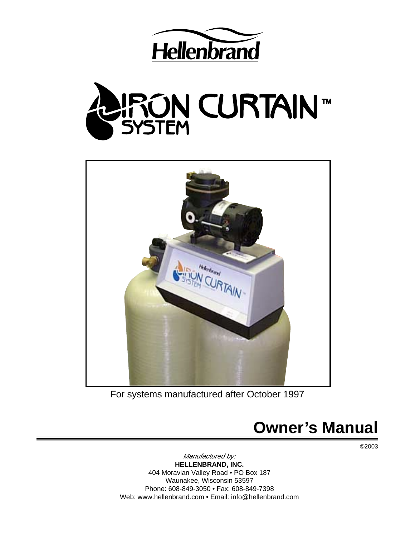





For systems manufactured after October 1997

# **Owner's Manual**

©2003

Manufactured by: **HELLENBRAND, INC.** 404 Moravian Valley Road • PO Box 187 Waunakee, Wisconsin 53597 Phone: 608-849-3050 • Fax: 608-849-7398 Web: www.hellenbrand.com • Email: info@hellenbrand.com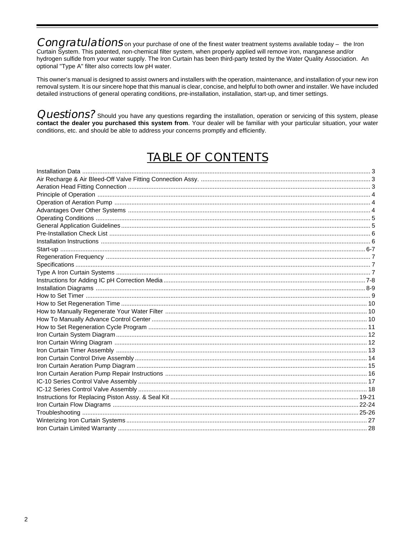Congratulations on your purchase of one of the finest water treatment systems available today - the Iron Curtain System. This patented, non-chemical filter system, when properly applied will remove iron, manganese and/or hydrogen sulfide from your water supply. The Iron Curtain has been third-party tested by the Water Quality Association. An optional "Type A" filter also corrects low pH water.

This owner's manual is designed to assist owners and installers with the operation, maintenance, and installation of your new iron removal system. It is our sincere hope that this manual is clear, concise, and helpful to both owner and installer. We have included detailed instructions of general operating conditions, pre-installation, installation, start-up, and timer settings.

**Questions?** Should you have any questions regarding the installation, operation or servicing of this system, please contact the dealer you purchased this system from. Your dealer will be familiar with your particular situ conditions, etc. and should be able to address your concerns promptly and efficiently.

## **TABLE OF CONTENTS**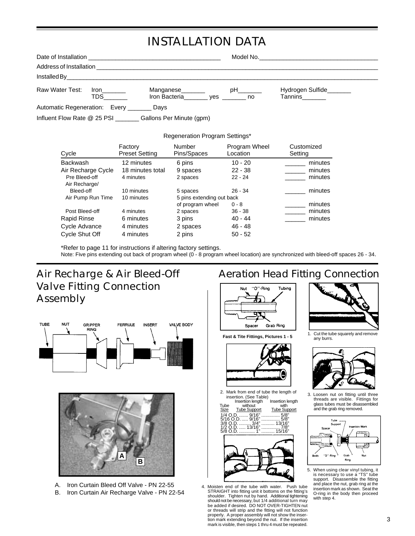# INSTALLATION DATA

| Address of Installation                     |                           | <u> 1980 - Jan James Sandarík (f. 1980)</u>                   |    |                                    |  |
|---------------------------------------------|---------------------------|---------------------------------------------------------------|----|------------------------------------|--|
|                                             |                           |                                                               |    |                                    |  |
| Raw Water Test:                             | <b>Iron</b><br><b>TDS</b> | Manganese<br>Iron Bacteria________ yes _______ no             | pH | Hydrogen Sulfide<br>Tannins_______ |  |
| Automatic Regeneration: Every ________ Days |                           |                                                               |    |                                    |  |
|                                             |                           | Influent Flow Rate @ 25 PSI ________ Gallons Per Minute (gpm) |    |                                    |  |

|                                | Regeneration Program Settings*   |                           |                           |                       |
|--------------------------------|----------------------------------|---------------------------|---------------------------|-----------------------|
| Cycle                          | Factory<br><b>Preset Setting</b> | Number<br>Pins/Spaces     | Program Wheel<br>Location | Customized<br>Setting |
| <b>Backwash</b>                | 12 minutes                       | 6 pins                    | $10 - 20$                 | minutes               |
| Air Recharge Cycle             | 18 minutes total                 | 9 spaces                  | $22 - 38$                 | minutes               |
| Pre Bleed-off<br>Air Recharge/ | 4 minutes                        | 2 spaces                  | $22 - 24$                 | minutes               |
| Bleed-off                      | 10 minutes                       | 5 spaces                  | $26 - 34$                 | minutes               |
| Air Pump Run Time              | 10 minutes                       | 5 pins extending out back |                           |                       |
|                                |                                  | of program wheel          | $0 - 8$                   | minutes               |
| Post Bleed-off                 | 4 minutes                        | 2 spaces                  | $36 - 38$                 | minutes               |
| Rapid Rinse                    | 6 minutes                        | 3 pins                    | $40 - 44$                 | minutes               |
| Cycle Advance                  | 4 minutes                        | 2 spaces                  | 46 - 48                   |                       |
| <b>Cycle Shut Off</b>          | 4 minutes                        | 2 pins                    | $50 - 52$                 |                       |

\*Refer to page 11 for instructions if altering factory settings.

Note: Five pins extending out back of program wheel (0 - 8 program wheel location) are synchronized with bleed-off spaces 26 - 34.

## Air Recharge & Air Bleed-Off Valve Fitting Connection Assembly





A. Iron Curtain Bleed Off Valve - PN 22-55 B. Iron Curtain Air Recharge Valve - PN 22-54

## Aeration Head Fitting Connection



**Fast & Tite Fittings, Pictures 1 - 5**



2. Mark from end of tube the length of insertion. (See Table)

Insertion length Insertion length<br>
Insertion length Insertion length<br>
Size Tube Support Tube Support hout with<br>Support Tube Support<br>9/16" ............... 5/8"<br>9/16" 5/8" 1/4 O.D.<br>5/16 O.D  $\overline{5/8}$ "<br> $\overline{5/8}$ "<br> $13/16$ " 3/8 O.D. ......... 3/4" .......... 13/16" 1/2 O.D. ..... 13/16" .............. 7/8" 5/8 O.D. ............ 1" .......... 15/16"



4. Moisten end of the tube with water. Push tube STRAIGHT into fitting unit it bottoms on the fitting's shoulder. Tighten nut by hand. Additional tightening should not be necessary, but 1/4 additional turn may be added if desired. DO NOT OVER-TIGHTEN nut or threads will strip and the fitting will not function properly. A proper assembly will not show the inser-tion mark extending beyond the nut. If the insertion mark is visible, then steps 1 thru 4 must be repeated.



1. Cut the tube squarely and remove any burrs.



3. Loosen nut on fitting until three threads are visible. Fittings for glass tubes must be disassembled and the grab ring removed.



5. When using clear vinyl tubing, it is necessary to use a "TS" tube support. Disassemble the fitting and place the nut, grab ring at the insertion mark as shown. Seat the O-ring in the body then proceed with step 4.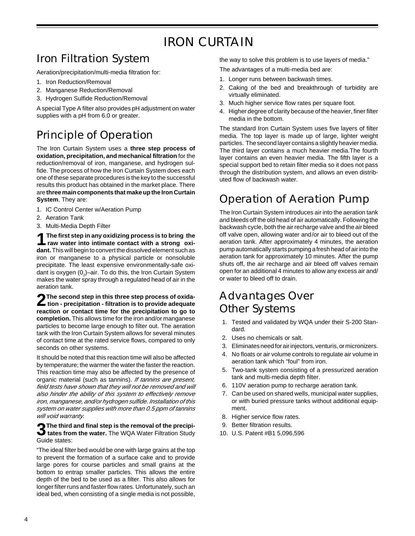# IRON CURTAIN

# Iron Filtration System

Aeration/precipitation/multi-media filtration for:

- 1. Iron Reduction/Removal
- 2. Manganese Reduction/Removal
- 3. Hydrogen Sulfide Reduction/Removal

A special Type A filter also provides pH adjustment on water supplies with a pH from 6.0 or greater.

# Principle of Operation

The Iron Curtain System uses a **three step process of oxidation, precipitation, and mechanical filtration** for the reduction/removal of iron, manganese, and hydrogen sulfide. The process of how the Iron Curtain System does each one of these separate procedures is the key to the successful results this product has obtained in the market place. There are **three main components that make up the Iron Curtain System**. They are:

- 1. IC Control Center w/Aeration Pump
- 2. Aeration Tank
- 3. Multi-Media Depth Filter

**1The first step in any oxidizing process is to bring the raw water into intimate contact with a strong oxidant.** This will begin to convert the dissolved element such as iron or manganese to a physical particle or nonsoluble precipitate. The least expensive environmentally-safe oxidant is oxygen (0 $_{\textrm{\tiny{2}}}$ )–air. To do this, the Iron Curtain System makes the water spray through a regulated head of air in the aeration tank.

**2The second step in this three step process of oxida-tion - precipitation - filtration is to provide adequate reaction or contact time for the precipitation to go to completion.** This allows time for the iron and/or manganese particles to become large enough to filter out. The aeration tank with the Iron Curtain System allows for several minutes of contact time at the rated service flows, compared to only seconds on other systems.

It should be noted that this reaction time will also be affected by temperature; the warmer the water the faster the reaction. This reaction time may also be affected by the presence of organic material (such as tannins). If tannins are present, field tests have shown that they will not be removed and will also hinder the ability of this system to effectively remove iron, manganese, and/or hydrogen sulfide. Installation of this system on water supplies with more than 0.5 ppm of tannins will void warranty.

## **3The third and final step is the removal of the precipi-tates from the water.** The WQA Water Filtration Study Guide states:

"The ideal filter bed would be one with large grains at the top to prevent the formation of a surface cake and to provide large pores for course particles and small grains at the bottom to entrap smaller particles. This allows the entire depth of the bed to be used as a filter. This also allows for longer filter runs and faster flow rates. Unfortunately, such an ideal bed, when consisting of a single media is not possible,

the way to solve this problem is to use layers of media."

- The advantages of a multi-media bed are:
- 1. Longer runs between backwash times.
- 2. Caking of the bed and breakthrough of turbidity are virtually eliminated.
- 3. Much higher service flow rates per square foot.
- 4. Higher degree of clarity because of the heavier, finer filter media in the bottom.

The standard Iron Curtain System uses five layers of filter media. The top layer is made up of large, lighter weight particles. The second layer contains a slightly heavier media. The third layer contains a much heavier media.The fourth layer contains an even heavier media. The fifth layer is a special support bed to retain filter media so it does not pass through the distribution system, and allows an even distributed flow of backwash water.

## Operation of Aeration Pump

The Iron Curtain System introduces air into the aeration tank and bleeds off the old head of air automatically. Following the backwash cycle, both the air recharge valve and the air bleed off valve open, allowing water and/or air to bleed out of the aeration tank. After approximately 4 minutes, the aeration pump automatically starts pumping a fresh head of air into the aeration tank for approximately 10 minutes. After the pump shuts off, the air recharge and air bleed off valves remain open for an additional 4 minutes to allow any excess air and/ or water to bleed off to drain.

## Advantages Over Other Systems

- 1. Tested and validated by WQA under their S-200 Standard.
- 2. Uses no chemicals or salt.
- 3. Eliminates need for air injectors, venturis, or micronizers.
- 4. No floats or air volume controls to regulate air volume in aeration tank which "foul" from iron.
- 5. Two-tank system consisting of a pressurized aeration tank and multi-media depth filter.
- 6. 110V aeration pump to recharge aeration tank.
- 7. Can be used on shared wells, municipal water supplies, or with buried pressure tanks without additional equipment.
- 8. Higher service flow rates.
- 9. Better filtration results.
- 10. U.S. Patent #B1 5,096,596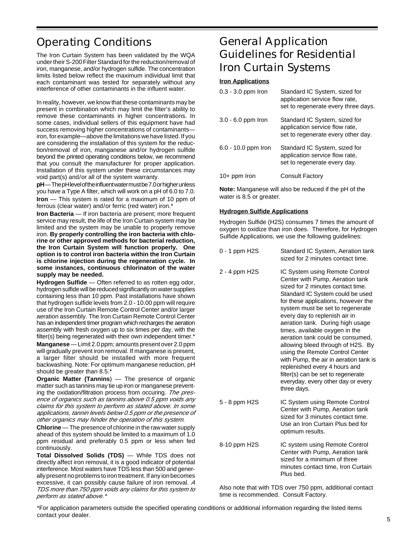# Operating Conditions

The Iron Curtain System has been validated by the WQA under their S-200 Filter Standard for the reduction/removal of iron, manganese, and/or hydrogen sulfide. The concentration limits listed below reflect the maximum individual limit that each contaminant was tested for separately without any interference of other contaminants in the influent water.

In reality, however, we know that these contaminants may be present in combination which may limit the filter's ability to remove these contaminants in higher concentrations. In some cases, individual sellers of this equipment have had success removing higher concentrations of contaminants iron, for example—above the limitations we have listed. If you are considering the installation of this system for the reduction/removal of iron, manganese and/or hydrogen sulfide beyond the printed operating conditions below, we recommend that you consult the manufacturer for proper application. Installation of this system under these circumstances may void part(s) and/or all of the system warranty.

**pH**—The pH level of the influent water must be 7.0 or higher unless you have a Type A filter, which will work on a pH of 6.0 to 7.0. **Iron** — This system is rated for a maximum of 10 ppm of ferrous (clear water) and/or ferric (red water) iron.\*

**Iron Bacteria** — If iron bacteria are present; more frequent service may result, the life of the Iron Curtain system may be limited and the system may be unable to properly remove iron. **By properly controlling the iron bacteria with chlorine or other approved methods for bacterial reduction, the Iron Curtain System will function properly. One option is to control iron bacteria within the Iron Curtain is chlorine injection during the regeneration cycle. In some instances, continuous chlorinaton of the water supply may be needed.**

**Hydrogen Sulfide** — Often referred to as rotten egg odor, hydrogen sulfide will be reduced significantly on water supplies containing less than 10 ppm. Past installations have shown that hydrogen sulfide levels from 2.0 - 10.00 ppm will require use of the Iron Curtain Remote Control Center and/or larger aeration assembly. The Iron Curtain Remote Control Center has an independent timer program which recharges the aeration assembly with fresh oxygen up to six times per day, with the filter(s) being regenerated with their own independent timer.\*

**Manganese** — Limit 2.0 ppm; amounts present over 2.0 ppm will gradually prevent iron removal. If manganese is present, a larger filter should be installed with more frequent backwashing. Note: For optimum manganese reduction, pH should be greater than 8.5.'

**Organic Matter (Tannins**) — The presence of organic matter such as tannins may tie up iron or manganese preventing the oxidation/filtration process from occuring. The presence of organics such as tannins above 0.5 ppm voids any claims for this system to perform as stated above. In some applications, tannin levels below 0.5 ppm or the presence of other organics may hinder the operation of this system.

**Chlorine** — The presence of chlorine in the raw water supply ahead of this system should be limited to a maximum of 1.0 ppm residual and preferably 0.5 ppm or less when fed continuously.

**Total Dissolved Solids (TDS)** — While TDS does not directly affect iron removal, it is a good indicator of potential interference. Most waters have TDS less than 500 and generally present no problems to iron treatment. If any ion becomes excessive, it can possibly cause failure of iron removal. A TDS more than 750 ppm voids any claims for this system to perform as stated above.\*

## General Application Guidelines for Residential Iron Curtain Systems

#### **Iron Applications**

| $0.3 - 3.0$ ppm fron  | Standard IC System, sized for<br>application service flow rate,<br>set to regenerate every three days. |
|-----------------------|--------------------------------------------------------------------------------------------------------|
| $3.0 - 6.0$ ppm fron  | Standard IC System, sized for<br>application service flow rate,<br>set to regenerate every other day.  |
| $6.0 - 10.0$ ppm fron | Standard IC System, sized for<br>application service flow rate,<br>set to regenerate every day.        |
| $10+$ ppm Iron        | <b>Consult Factory</b>                                                                                 |

**Note:** Manganese will also be reduced if the pH of the water is 8.5 or greater.

#### **Hydrogen Sulfide Applications**

Hydrogen Sulfide (H2S) consumes 7 times the amount of oxygen to oxidize than iron does. Therefore, for Hydrogen Sulfide Applications, we use the following guidelines:

| 0 - 1 ppm H2S | Standard IC System, Aeration tank<br>sized for 2 minutes contact time.                                                                                                                                                                                                                                                                                                                                                                                                                                                                                                                                         |
|---------------|----------------------------------------------------------------------------------------------------------------------------------------------------------------------------------------------------------------------------------------------------------------------------------------------------------------------------------------------------------------------------------------------------------------------------------------------------------------------------------------------------------------------------------------------------------------------------------------------------------------|
| 2 - 4 ppm H2S | IC System using Remote Control<br>Center with Pump, Aeration tank<br>sized for 2 minutes contact time.<br>Standard IC System could be used<br>for these applications, however the<br>system must be set to regenerate<br>every day to replenish air in<br>aeration tank. During high usage<br>times, available oxygen in the<br>aeration tank could be consumed.<br>allowing bleed through of H2S. By<br>using the Remote Control Center<br>with Pump, the air in aeration tank is<br>replenished every 4 hours and<br>filter(s) can be set to regenerate<br>everyday, every other day or every<br>three days. |
| 5 - 8 ppm H2S | IC System using Remote Control<br>Center with Pump, Aeration tank<br>sized for 3 minutes contact time.<br>Use an Iron Curtain Plus bed for<br>optimum results.                                                                                                                                                                                                                                                                                                                                                                                                                                                 |
| 8-10 ppm H2S  | IC system using Remote Control<br>Center with Pump, Aeration tank<br>sized for a minimum of three<br>minutes contact time, Iron Curtain<br>Plus bed.                                                                                                                                                                                                                                                                                                                                                                                                                                                           |

Also note that with TDS over 750 ppm, additional contact time is recommended. Consult Factory.

\*For application parameters outside the specified operating conditions or additional information regarding the listed items contact your dealer.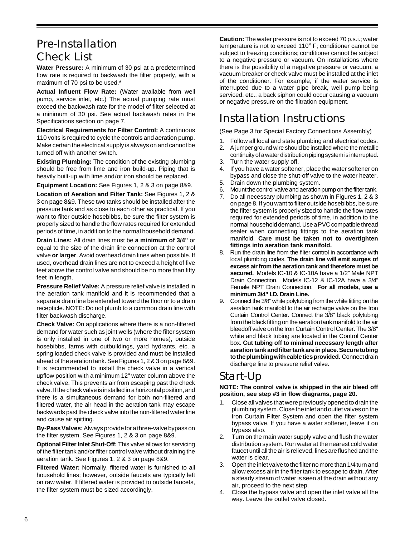## Pre-Installation Check List

**Water Pressure:** A minimum of 30 psi at a predetermined flow rate is required to backwash the filter properly, with a maximum of 70 psi to be used.\*

**Actual Influent Flow Rate:** (Water available from well pump, service inlet, etc.) The actual pumping rate must exceed the backwash rate for the model of filter selected at a minimum of 30 psi. See actual backwash rates in the Specifications section on page 7.

**Electrical Requirements for Filter Control:** A continuous 110 volts is required to cycle the controls and aeration pump. Make certain the electrical supply is always on and cannot be turned off with another switch.

**Existing Plumbing:** The condition of the existing plumbing should be free from lime and iron build-up. Piping that is heavily built-up with lime and/or iron should be replaced.

**Equipment Location:** See Figures 1, 2 & 3 on page 8&9.

**Location of Aeration and Filter Tank:** See Figures 1, 2 & 3 on page 8&9. These two tanks should be installed after the pressure tank and as close to each other as practical. If you want to filter outside hosebibbs, be sure the filter system is properly sized to handle the flow rates required for extended periods of time, in addition to the normal household demand.

**Drain Lines:** All drain lines must be **a minimum of 3/4"** or equal to the size of the drain line connection at the control valve **or larger**. Avoid overhead drain lines when possible. If used, overhead drain lines are not to exceed a height of five feet above the control valve and should be no more than fifty feet in length.

**Pressure Relief Valve:** A pressure relief valve is installed in the aeration tank manifold and it is recommended that a separate drain line be extended toward the floor or to a drain recepticle. NOTE: Do not plumb to a common drain line with filter backwash discharge.

**Check Valve:** On applications where there is a non-filtered demand for water such as joint wells (where the filter system is only installed in one of two or more homes), outside hosebibbs, farms with outbuildings, yard hydrants, etc. a spring loaded check valve is provided and must be installed ahead of the aeration tank. See Figures 1, 2 & 3 on page 8&9. It is recommended to install the check valve in a vertical upflow position with a minimum 12" water column above the check valve. This prevents air from escaping past the check valve. If the check valve is installed in a horizontal position, and there is a simultaneous demand for both non-filtered and filtered water, the air head in the aeration tank may escape backwards past the check valve into the non-filtered water line and cause air spitting.

**By-Pass Valves:** Always provide for a three-valve bypass on the filter system. See Figures 1, 2 & 3 on page 8&9.

**Optional Filter Inlet Shut-Off:** This valve allows for servicing of the filter tank and/or filter control valve without draining the aeration tank. See Figures 1, 2 & 3 on page 8&9.

**Filtered Water:** Normally, filtered water is furnished to all household lines; however, outside faucets are typically left on raw water. If filtered water is provided to outside faucets, the filter system must be sized accordingly.

**Caution:** The water pressure is not to exceed 70 p.s.i.; water temperature is not to exceed 110° F; conditioner cannot be subject to freezing conditions; conditioner cannot be subject to a negative pressure or vacuum. On installations where there is the possibility of a negative pressure or vacuum, a vacuum breaker or check valve must be installed at the inlet of the conditioner. For example, if the water service is interrupted due to a water pipe break, well pump being serviced, etc., a back siphon could occur causing a vacuum or negative pressure on the filtration equipment.

# Installation Instructions

(See Page 3 for Special Factory Connections Assembly)

- 1. Follow all local and state plumbing and electrical codes.
- 2. A jumper ground wire should be installed where the metallic continuity of a water distribution piping system is interrupted.
- 3. Turn the water supply off.
- 4. If you have a water softener, place the water softener on bypass and close the shut-off valve to the water heater.
- 5. Drain down the plumbing system.
- 6. Mount the control valve and aeration pump on the filter tank.
- 7. Do all necessary plumbing as shown in Figures 1, 2 & 3 on page 8. If you want to filter outside hosebibbs, be sure the filter system is properly sized to handle the flow rates required for extended periods of time, in addition to the normal household demand. Use a PVC compatible thread sealer when connecting fittings to the aeration tank manifold. **Care must be taken not to overtighten fittings into aeration tank manifold.**
- 8. Run the drain line from the filter control in accordance with local plumbing codes. **The drain line will emit surges of excess air from the aeration tank and therefore must be secured.** Models IC-10 & IC-10A have a 1/2" Male NPT Drain Connection. Models IC-12 & IC-12A have a 3/4" Female NPT Drain Connection. **For all models, use a minimum 3/4" I.D. Drain Line.**
- 9. Connect the 3/8" white polytubing from the white fitting on the aeration tank manifold to the air recharge valve on the Iron Curtain Control Center. Connect the 3/8" black polytubing from the black fitting on the aeration tank manifold to the air bleedoff valve on the Iron Curtain Control Center. The 3/8" white and black tubing are located in the Control Center box. **Cut tubing off to minimal necessary length after aeration tank and filter tank are in place. Secure tubing to the plumbing with cable ties provided.** Connect drain discharge line to pressure relief valve.

## Start-Up

**NOTE: The control valve is shipped in the air bleed off position, see step #3 in flow diagrams, page 20.**

- 1. Close all valves that were previously opened to drain the plumbing system. Close the inlet and outlet valves on the Iron Curtain Filter System and open the filter system bypass valve. If you have a water softener, leave it on bypass also.
- 2. Turn on the main water supply valve and flush the water distribution system. Run water at the nearest cold water faucet until all the air is relieved, lines are flushed and the water is clear.
- 3. Open the inlet valve to the filter no more than 1/4 turn and allow excess air in the filter tank to escape to drain. After a steady stream of water is seen at the drain without any air, proceed to the next step.
- 4. Close the bypass valve and open the inlet valve all the way. Leave the outlet valve closed.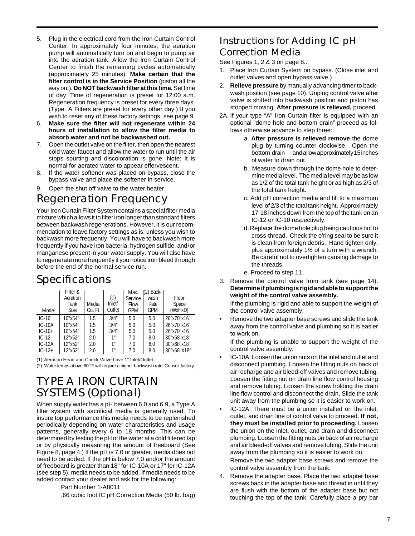- 5. Plug in the electrical cord from the Iron Curtain Control Center. In approximately four minutes, the aeration pump will automatically turn on and begin to pump air into the aeration tank. Allow the Iron Curtain Control Center to finish the remaining cycles automatically (approximately 25 minutes). **Make certain that the filter control is in the Service Position** (piston all the way out). **Do NOT backwash filter at this time.** Set time of day. Time of regeneration is preset for 12:00 a.m. Regeneration frequency is preset for every three days. (Type A Filters are preset for every other day.) If you wish to reset any of these factory settings, see page 9.
- 6. **Make sure the filter will not regenerate within 24 hours of installation to allow the filter media to absorb water and not be backwashed out.**
- 7. Open the outlet valve on the filter, then open the nearest cold water faucet and allow the water to run until the air stops spurting and discoloration is gone. Note: It is normal for aerated water to appear effervescent.
- 8. If the water softener was placed on bypass, close the bypass valve and place the softener in service.
- 9. Open the shut off valve to the water heater.

## Regeneration Frequency

Your Iron Curtain Filter System contains a special filter media mixture which allows it to filter iron longer than standard filters between backwash regenerations. However, it is our recommendation to leave factory settings as is, unless you wish to backwash more frequently. You will have to backwash more frequently if you have iron bacteria, hydrogen sulfide, and/or manganese present in your water supply. You will also have to regenerate more frequently if you notice iron bleed through before the end of the normal service run.

## Specifications

| Model       | Filter &<br>Aeration<br>Tank<br>Size | Media<br>Cu. Ft | (1)<br>Inlet/<br>Outlet | Max.<br>Service<br><b>Flow</b><br><b>GPM</b> | $(2)$ Back- $\blacksquare$<br>wash<br>Rate<br><b>GPM</b> | Floor<br>Space<br>(WxHxD) |
|-------------|--------------------------------------|-----------------|-------------------------|----------------------------------------------|----------------------------------------------------------|---------------------------|
| $IC-10$     | 10"x54"                              | 1.5             | 3/4"                    | 5.0                                          | 5.0                                                      | 26"x70"x16"               |
| $IC-10A$    | 10"x54"                              | 1.5             | 3/4"                    | 5.0                                          | 5.0                                                      | 26"x70"x16"               |
| $IC - 10 +$ | 10"x54"                              | 1.5             | 3/4"                    | 5.0                                          | 5.0                                                      | 26"x70"x16                |
| $IC-12$     | 12"x52"                              | 2.0             | 1"                      | 7.0                                          | 8.0                                                      | 30"x68"x18"               |
| $IC-12A$    | 12"x52"                              | 2.0             | 1"                      | 7.0                                          | 8.0                                                      | 30"x68"x18"               |
| $IC-12+$    | 12"x52"                              | 2.0             | 1"                      | 7.0                                          | 8.0                                                      | 30"x68"X18"               |

(1) Aeration Head and Check Valve have 1" Inlet/Outlet.

(2) Water temps above 60° F will require a higher backwash rate. Consult factory.

## TYPE A IRON CURTAIN SYSTEMS (Optional)

When supply water has a pH between 6.0 and 6.9, a Type A filter system with sacrificial media is generally used. To insure top performance this media needs to be replenished periodically depending on water characteristics and usage patterns, generally every 6 to 18 months. This can be determined by testing the pH of the water at a cold filtered tap or by physically measuring the amount of freeboard (See Figure 8, page 4.) If the pH is 7.0 or greater, media does not need to be added. If the pH is below 7.0 and/or the amount of freeboard is greater than 18" for IC-10A or 17" for IC-12A (see step 5), media needs to be added. If media needs to be added contact your dealer and ask for the following:

Part Number 1-A8011

.66 cubic foot IC pH Correction Media (50 lb. bag)

## Instructions for Adding IC pH Correction Media

See Figures 1, 2 & 3 on page 8..

- 1. Place Iron Curtain System on bypass. (Close inlet and outlet valves and open bypass valve.)
- 2. **Relieve pressure** by manually advancing timer to backwash position (see page 10). Unplug control valve after valve is shifted into backwash position and piston has stopped moving. **After pressure is relieved,** proceed.
- 2A. If your type "A" Iron Curtain filter is equipped with an optional "dome hole and bottom drain" proceed as follows otherwise advance to step three:
	- a. **After pressure is relieved remove** the dome plug by turning counter clockwise. Open the bottom drain and allow approximately 15 inches of water to drain out.
	- b. Measure down through the dome hole to determine media level. The media level may be as low as 1/2 of the total tank height or as high as 2/3 of the total tank height.
	- c. Add pH correction media and fill to a maximum level of 2/3 of the total tank height. Approximately 17-18 inches down from the top of the tank on an IC-12 or IC-10 respectively.
	- d. Replace the dome hole plug being cautious not to cross-thread. Check the o'ring seal to be sure it is clean from foreign debris. Hand tighten only, plus approximately 1/8 of a turn with a wrench. Be careful not to overtighten causing damage to the threads.
	- e. Proceed to step 11.
- 3. Remove the control valve from tank (see page 14). **Determine if plumbing is rigid and able to support the weight of the control valve assembly.**

If the plumbing is rigid and able to support the weight of the control valve assembly:

• Remove the two adapter base screws and slide the tank away from the control valve and plumbing so it is easier to work on.

If the plumbing is unable to support the weight of the control valve assembly:

- IC-10A: Loosen the union nuts on the inlet and outlet and disconnect plumbing. Loosen the fitting nuts on back of air recharge and air bleed-off valves and remove tubing. Loosen the fitting nut on drain line flow control housing and remove tubing. Loosen the screw holding the drain line flow control and disconnect the drain. Slide the tank unit away from the plumbing so it is easier to work on.
- IC-12A: There must be a union installed on the inlet, outlet, and drain line of control valve to proceed. **If not, they must be installed prior to proceeding.** Loosen the union on the inlet, outlet, and drain and disconnect plumbing. Loosen the fitting nuts on back of air recharge and air bleed-off valves and remove tubing. Slide the unit away from the plumbing so it is easier to work on.

Remove the two adapter base screws and remove the control valve assembly from the tank.

4. Remove the adapter base. Place the two adapter base screws back in the adapter base and thread in until they are flush with the bottom of the adapter base but not touching the top of the tank. Carefully place a pry bar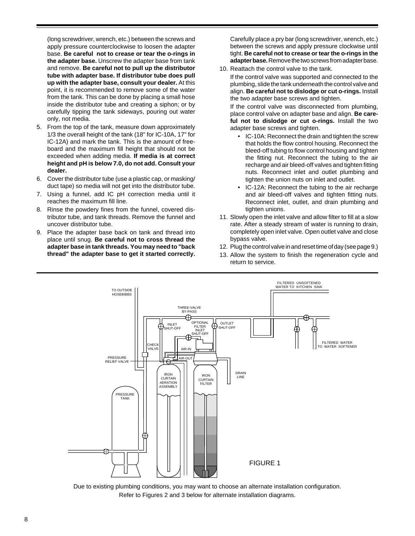(long screwdriver, wrench, etc.) between the screws and apply pressure counterclockwise to loosen the adapter base. **Be careful not to crease or tear the o-rings in the adapter base.** Unscrew the adapter base from tank and remove. **Be careful not to pull up the distributor tube with adapter base. If distributor tube does pull up with the adapter base, consult your dealer.** At this point, it is recommended to remove some of the water from the tank. This can be done by placing a small hose inside the distributor tube and creating a siphon; or by carefully tipping the tank sideways, pouring out water only, not media.

- 5. From the top of the tank, measure down approximately 1/3 the overall height of the tank (18" for IC-10A, 17" for IC-12A) and mark the tank. This is the amount of freeboard and the maximum fill height that should not be exceeded when adding media. **If media is at correct height and pH is below 7.0, do not add. Consult your dealer.**
- 6. Cover the distributor tube (use a plastic cap, or masking/ duct tape) so media will not get into the distributor tube.
- 7. Using a funnel, add IC pH correction media until it reaches the maximum fill line.
- 8. Rinse the powdery fines from the funnel, covered distributor tube, and tank threads. Remove the funnel and uncover distributor tube.
- 9. Place the adapter base back on tank and thread into place until snug. **Be careful not to cross thread the adapter base in tank threads. You may need to "back thread" the adapter base to get it started correctly.**

Carefully place a pry bar (long screwdriver, wrench, etc.) between the screws and apply pressure clockwise until tight. **Be careful not to crease or tear the o-rings in the adapter base.** Remove the two screws from adapter base.

10. Reattach the control valve to the tank.

If the control valve was supported and connected to the plumbing, slide the tank underneath the control valve and align. **Be careful not to dislodge or cut o-rings.** Install the two adapter base screws and tighten.

If the control valve was disconnected from plumbing, place control valve on adapter base and align. **Be careful not to dislodge or cut o-rings.** Install the two adapter base screws and tighten.

- IC-10A: Reconnect the drain and tighten the screw that holds the flow control housing. Reconnect the bleed-off tubing to flow control housing and tighten the fitting nut. Reconnect the tubing to the air recharge and air bleed-off valves and tighten fitting nuts. Reconnect inlet and outlet plumbing and tighten the union nuts on inlet and outlet.
- IC-12A: Reconnect the tubing to the air recharge and air bleed-off valves and tighten fitting nuts. Reconnect inlet, outlet, and drain plumbing and tighten unions.
- 11. Slowly open the inlet valve and allow filter to fill at a slow rate. After a steady stream of water is running to drain, completely open inlet valve. Open outlet valve and close bypass valve.
- 12. Plug the control valve in and reset time of day (see page 9.)
- 13. Allow the system to finish the regeneration cycle and return to service.



Due to existing plumbing conditions, you may want to choose an alternate installation configuration. Refer to Figures 2 and 3 below for alternate installation diagrams.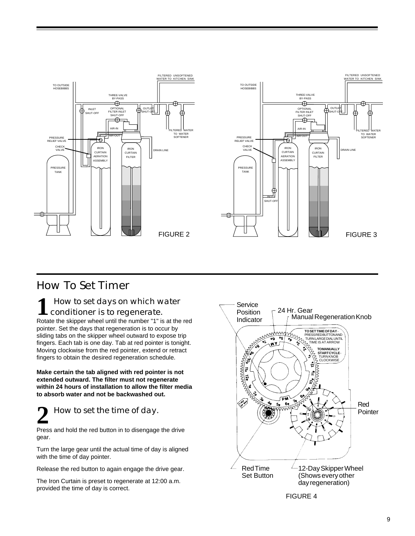

## How To Set Timer

### **1** How to set days on which water conditioner is to regenerate.

Rotate the skipper wheel until the number "1" is at the red pointer. Set the days that regeneration is to occur by sliding tabs on the skipper wheel outward to expose trip fingers. Each tab is one day. Tab at red pointer is tonight. Moving clockwise from the red pointer, extend or retract fingers to obtain the desired regeneration schedule.

**Make certain the tab aligned with red pointer is not extended outward. The filter must not regenerate within 24 hours of installation to allow the filter media to absorb water and not be backwashed out.**

# **2** How to set the time of day.

Press and hold the red button in to disengage the drive gear.

Turn the large gear until the actual time of day is aligned with the time of day pointer.

Release the red button to again engage the drive gear.

The Iron Curtain is preset to regenerate at 12:00 a.m. provided the time of day is correct.

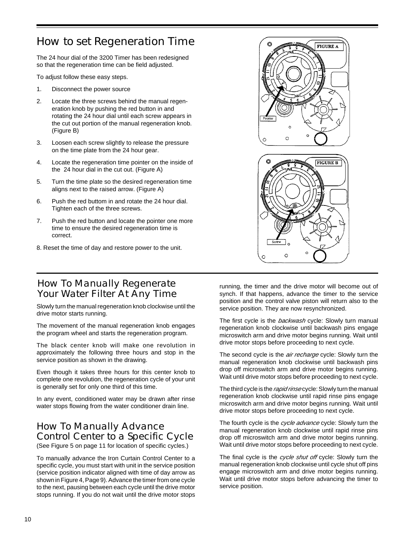## How to set Regeneration Time

The 24 hour dial of the 3200 Timer has been redesigned so that the regeneration time can be field adjusted.

To adjust follow these easy steps.

- 1. Disconnect the power source
- 2. Locate the three screws behind the manual regeneration knob by pushing the red button in and rotating the 24 hour dial until each screw appears in the cut out portion of the manual regeneration knob. (Figure B)
- 3. Loosen each screw slightly to release the pressure on the time plate from the 24 hour gear.
- 4. Locate the regeneration time pointer on the inside of the 24 hour dial in the cut out. (Figure A)
- 5. Turn the time plate so the desired regeneration time aligns next to the raised arrow. (Figure A)
- 6. Push the red buttom in and rotate the 24 hour dial. Tighten each of the three screws.
- 7. Push the red button and locate the pointer one more time to ensure the desired regeneration time is correct.
- 8. Reset the time of day and restore power to the unit.

### How To Manually Regenerate Your Water Filter At Any Time

Slowly turn the manual regeneration knob clockwise until the drive motor starts running.

The movement of the manual regeneration knob engages the program wheel and starts the regeneration program.

The black center knob will make one revolution in approximately the following three hours and stop in the service position as shown in the drawing.

Even though it takes three hours for this center knob to complete one revolution, the regeneration cycle of your unit is generally set for only one third of this time.

In any event, conditioned water may be drawn after rinse water stops flowing from the water conditioner drain line.

## How To Manually Advance Control Center to a Specific Cycle

(See Figure 5 on page 11 for location of specific cycles.)

To manually advance the Iron Curtain Control Center to a specific cycle, you must start with unit in the service position (service position indicator aligned with time of day arrow as shown in Figure 4, Page 9). Advance the timer from one cycle to the next, pausing between each cycle until the drive motor stops running. If you do not wait until the drive motor stops



 $\circ$ 

running, the timer and the drive motor will become out of synch. If that happens, advance the timer to the service position and the control valve piston will return also to the service position. They are now resynchronized.

The first cycle is the backwash cycle: Slowly turn manual regeneration knob clockwise until backwash pins engage microswitch arm and drive motor begins running. Wait until drive motor stops before proceeding to next cycle.

The second cycle is the *air recharge* cycle: Slowly turn the manual regeneration knob clockwise until backwash pins drop off microswitch arm and drive motor begins running. Wait until drive motor stops before proceeding to next cycle.

The third cycle is the rapid rinse cycle: Slowly turn the manual regeneration knob clockwise until rapid rinse pins engage microswitch arm and drive motor begins running. Wait until drive motor stops before proceeding to next cycle.

The fourth cycle is the cycle advance cycle: Slowly turn the manual regeneration knob clockwise until rapid rinse pins drop off microswitch arm and drive motor begins running. Wait until drive motor stops before proceeding to next cycle.

The final cycle is the cycle shut off cycle: Slowly turn the manual regeneration knob clockwise until cycle shut off pins engage microswitch arm and drive motor begins running. Wait until drive motor stops before advancing the timer to service position.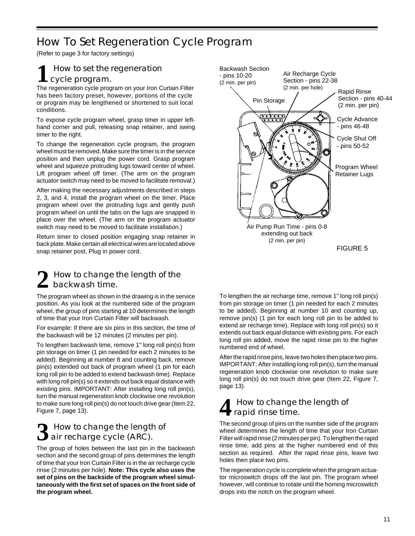## How To Set Regeneration Cycle Program

(Refer to page 3 for factory settings)

## **1** How to set the regeneration cycle program.

The regeneration cycle program on your Iron Curtain Filter has been factory preset, however, portions of the cycle or program may be lengthened or shortened to suit local conditions.

To expose cycle program wheel, grasp timer in upper lefthand corner and pull, releasing snap retainer, and swing timer to the right.

To change the regeneration cycle program, the program wheel must be removed. Make sure the timer is in the service position and then unplug the power cord. Grasp program wheel and squeeze protruding lugs toward center of wheel. Lift program wheel off timer. (The arm on the program actuator switch may need to be moved to facilitate removal.)

After making the necessary adjustments described in steps 2, 3, and 4, install the program wheel on the timer. Place program wheel over the protruding lugs and gently push program wheel on until the tabs on the lugs are snapped in place over the wheel. (The arm on the program actuator switch may need to be moved to facilitate installation.)

Return timer to closed position engaging snap retainer in back plate. Make certain all electrical wires are located above snap retainer post. Plug in power cord.

### **2** How to change the length of the backwash time.

The program wheel as shown in the drawing is in the service position. As you look at the numbered side of the program wheel, the group of pins starting at 10 determines the length of time that your Iron Curtain Filter will backwash.

For example: If there are six pins in this section, the time of the backwash will be 12 minutes (2 minutes per pin).

To lengthen backwash time, remove 1" long roll pin(s) from pin storage on timer (1 pin needed for each 2 minutes to be added). Beginning at number 8 and counting back, remove pin(s) extended out back of program wheel (1 pin for each long roll pin to be added to extend backwash time). Replace with long roll pin(s) so it extends out back equal distance with existing pins. IMPORTANT: After installing long roll pin(s), turn the manual regeneration knob clockwise one revolution to make sure long roll pin(s) do not touch drive gear (Item 22, Figure 7, page 13).

## **3** How to change the length of **J** air recharge cycle (ARC).

The group of holes between the last pin in the backwash section and the second group of pins determines the length of time that your Iron Curtain Filter is in the air recharge cycle rinse (2 minutes per hole). **Note: This cycle also uses the set of pins on the backside of the program wheel simultaneously with the first set of spaces on the front side of the program wheel.**



To lengthen the air recharge time, remove 1" long roll pin(s) from pin storage on timer (1 pin needed for each 2 minutes to be added). Beginning at number 10 and counting up, remove pin(s) (1 pin for each long roll pin to be added to extend air recharge time). Replace with long roll pin(s) so it extends out back equal distance with existing pins. For each long roll pin added, move the rapid rinse pin to the higher numbered end of wheel.

After the rapid rinse pins, leave two holes then place two pins. IMPORTANT: After installing long roll pin(s), turn the manual regeneration knob clockwise one revolution to make sure long roll pin(s) do not touch drive gear (Item 22, Figure 7, page 13).

## **4** How to change the length of rapid rinse time.

The second group of pins on the number side of the program wheel determines the length of time that your Iron Curtain Filter will rapid rinse (2 minutes per pin). To lengthen the rapid rinse time, add pins at the higher numbered end of this section as required. After the rapid rinse pins, leave two holes then place two pins.

The regeneration cycle is complete when the program actuator microswitch drops off the last pin. The program wheel however, will continue to rotate until the homing microswitch drops into the notch on the program wheel.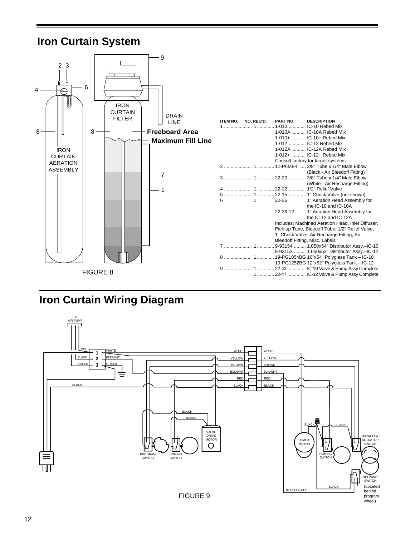## **Iron Curtain System**



## **Iron Curtain Wiring Diagram**

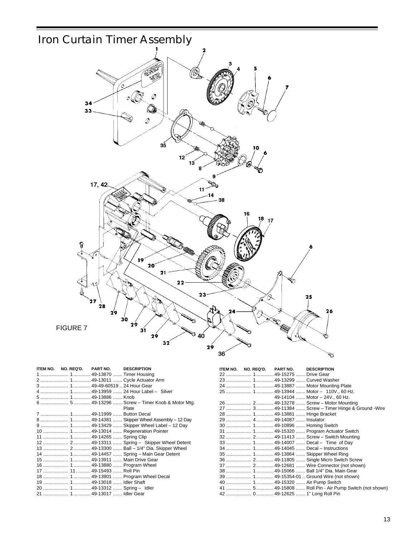

| ITEM NO. | NO. REQ'D. | <b>PART NO.</b>                  | <b>DESCRIPTION</b>                              | ITEM NO. | NO. REQ'D. | PART NO. | <b>DESCRIPTION</b>                                      |
|----------|------------|----------------------------------|-------------------------------------------------|----------|------------|----------|---------------------------------------------------------|
|          |            |                                  |                                                 |          |            |          |                                                         |
|          |            |                                  |                                                 |          |            |          | 23  1  49-13299  Curved Washer                          |
|          |            |                                  |                                                 |          |            |          |                                                         |
|          |            |                                  |                                                 |          |            |          |                                                         |
|          |            |                                  |                                                 |          |            |          | 49-14104  Motor - 24V., 60 Hz.                          |
|          |            |                                  |                                                 |          |            |          |                                                         |
|          |            |                                  | Plate                                           |          |            |          | 27  3  49-11384  Screw - Timer Hinge & Ground -Wire     |
|          |            |                                  |                                                 |          |            |          |                                                         |
|          |            |                                  |                                                 |          |            |          |                                                         |
|          |            |                                  |                                                 |          |            |          |                                                         |
|          |            |                                  |                                                 |          |            |          | 31  1  49-15320  Program Actuator Switch                |
|          |            |                                  |                                                 |          |            |          |                                                         |
|          |            |                                  | 12  2  49-13311  Spring - Skipper Wheel Detent  |          |            |          |                                                         |
|          |            |                                  | 13  2  49-13300  Ball - 1/4" Dia. Skipper Wheel |          |            |          |                                                         |
|          |            |                                  |                                                 |          |            |          | 35  1  49-13864  Skipper Wheel Ring                     |
|          |            | 15  1  49-13911  Main Drive Gear |                                                 |          |            |          |                                                         |
|          |            | 16  1  49-13880  Program Wheel   |                                                 |          |            |          |                                                         |
|          |            | 17  11  49-15493  Roll Pin       |                                                 |          |            |          | 38  1  49-15066  Ball 1/4" Dia. Main Gear               |
|          |            |                                  | 18  1  49-13901  Program Wheel Decal            |          |            |          |                                                         |
|          |            |                                  |                                                 |          |            |          |                                                         |
|          |            | 20  1  49-13312  Spring - Idler  |                                                 |          |            |          | 41  5  49-15808  Roll Pin - Air Pump Switch (not shown) |
|          |            | 21  1  49-13017  Idler Gear      |                                                 |          |            |          | 42  0  49-12625  1" Long Roll Pin                       |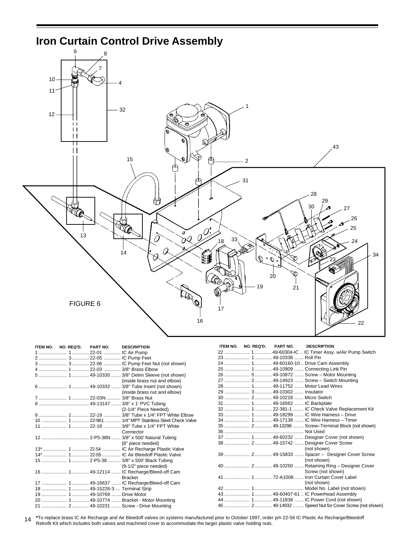

| ITEM NO. NO. REQ'D.<br><b>DESCRIPTION</b><br><b>PART NO.</b> | ITEM NO. NO. REQ'D.<br><b>PART NO.</b><br><b>DESCRIPTION</b> |
|--------------------------------------------------------------|--------------------------------------------------------------|
|                                                              | 22  1  49-60304-IC  IC Timer Assy. w/Air Pump Switch         |
| 2  3  22-05  IC Pump Feet                                    | 23  1  49-10338  Roll Pin                                    |
|                                                              | 24  1  49-60160-10  Drive Cam Assembly                       |
|                                                              | 25  1  49-10909  Connecting Link Pin                         |
|                                                              | 26  5  49-10872  Screw - Motor Mounting                      |
| (inside brass nut and elbow)                                 | 27  2  49-14923  Screw - Switch Mounting                     |
|                                                              | 28  1  49-11752  Motor Lead Wires                            |
| (inside brass nut and elbow)                                 | 29  3  49-10302  Insulator                                   |
|                                                              | 30  2  49-10218  Micro Switch                                |
|                                                              |                                                              |
| (2-1/4" Piece Needed)                                        | 32  1  22-381-1  IC Check Valve Replacement Kit              |
| 9  1  22-19  3/8" Tube x 1/4" FPT White Elbow                | 33  1  49-18299  IC Wire Harness - Drive                     |
| 10  1  22-961  1/4" MPT Stainless Steel Check Valve          | 34  1  49-17138  IC Wire Harness - Timer                     |
|                                                              |                                                              |
| Connector                                                    |                                                              |
|                                                              | 37  1  49-60232  Designer Cover (not shown)                  |
| (8" piece needed)                                            | 38  2  49-15742  Designer Cover Screw                        |
| 13*  1  22-54  IC Air Recharge Plastic Valve                 | (not shown)                                                  |
| 14*  1  22-55  IC Air Bleedoff Plastic Valve                 | 39  2  49-15833  Spacer - Designer Cover Screw               |
| 15  1  2-P5-38  3/8" x 500' Black Tubing                     | (not shown)                                                  |
| $(9-1/2"$ piece needed)                                      | 40  2  49-10250  Retaining Ring - Designer Cover             |
| 16  1  49-12114  IC Recharge/Bleed-off Cam                   | Screw (not shown)                                            |
| <b>Bracket</b>                                               | 41  1  72-A1008  Iron Curtain Cover Label                    |
| 17  1  49-16637  IC Recharge/Bleed-off Cam                   | (not shown)                                                  |
| 18  1  49-15226-3  Terminal Strip                            |                                                              |
| 19  1  49-10769  Drive Motor                                 | 43  1  49-60407-61  IC Powerhead Assembly                    |
| 20  1  49-10774  Bracket - Motor Mounting                    | 44  1  49-11838  IC Power Cord (not shown)                   |
|                                                              | 45  2  49-14932  Speed Nut for Cover Screw (not shown)       |

14 **\***To replace brass IC Air Recharge and Air Bleedoff valves on systems manufactured prior to October 1997, order p/n 22-56 IC Plastic Air Recharge/Bleedoff Retrofit Kit which includes both valves and machined cover to accommodate the larger plastic valve holding nuts.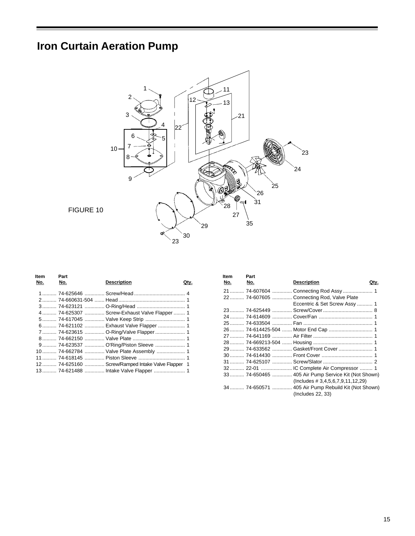# **Iron Curtain Aeration Pump**



| ltem | Part |                                                    |      |
|------|------|----------------------------------------------------|------|
| No.  | No.  | <b>Description</b>                                 | Qtv. |
|      |      |                                                    |      |
|      |      |                                                    |      |
|      |      |                                                    |      |
|      |      | 4  74-625307  Screw-Exhaust Valve Flapper  1       |      |
|      |      |                                                    |      |
|      |      | 6  74-621102  Exhaust Valve Flapper  1             |      |
|      |      | 7 74-623615  O-Ring/Valve Flapper  1               |      |
|      |      |                                                    |      |
|      |      | 9 74-623537  O'Ring/Piston Sleeve  1               |      |
|      |      | 10  74-662784  Valve Plate Assembly  1             |      |
|      |      |                                                    |      |
|      |      | 12  74-625160  Screw/Ramped Intake Valve Flapper 1 |      |
|      |      |                                                    |      |
|      |      |                                                    |      |

| <b>Item</b><br>No. | Part<br>No. | <b>Description</b>                                  | <u>Qtv.</u> |
|--------------------|-------------|-----------------------------------------------------|-------------|
|                    |             |                                                     |             |
|                    |             |                                                     |             |
|                    |             | 22 74-607605  Connecting Rod, Valve Plate           |             |
|                    |             | Eccentric & Set Screw Assy 1                        |             |
|                    |             |                                                     |             |
|                    |             |                                                     |             |
|                    |             |                                                     |             |
|                    |             | 26  74-614425-504  Motor End Cap  1                 |             |
|                    |             |                                                     |             |
|                    |             |                                                     |             |
|                    |             | 29 74-633562  Gasket/Front Cover  1                 |             |
|                    |             |                                                     |             |
|                    |             |                                                     |             |
|                    |             |                                                     |             |
|                    |             | 33 74-650465  405 Air Pump Service Kit (Not Shown)  |             |
|                    |             | $($ lncludes # 3,4,5,6,7,9,11,12,29 $)$             |             |
|                    |             | 34  74-650571  405 Air Pump Rebuild Kit (Not Shown) |             |
|                    |             | (Includes 22, 33)                                   |             |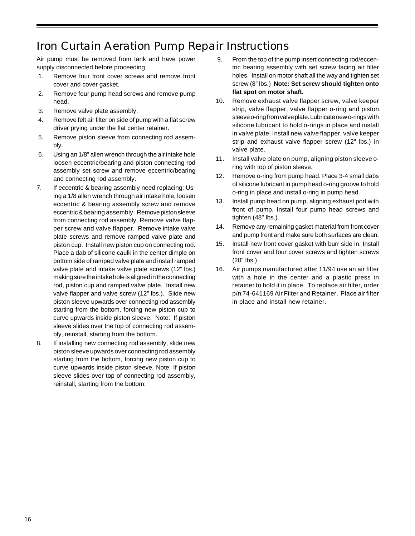## Iron Curtain Aeration Pump Repair Instructions

Air pump must be removed from tank and have power supply disconnected before proceeding.

- 1. Remove four front cover screws and remove front cover and cover gasket.
- 2. Remove four pump head screws and remove pump head.
- 3. Remove valve plate assembly.
- 4. Remove felt air filter on side of pump with a flat screw driver prying under the flat center retainer.
- 5. Remove piston sleeve from connecting rod assembly.
- 6. Using an 1/8" allen wrench through the air intake hole loosen eccentric/bearing and piston connecting rod assembly set screw and remove eccentric/bearing and connecting rod assembly.
- 7. If eccentric & bearing assembly need replacing: Using a 1/8 allen wrench through air intake hole, loosen eccentric & bearing assembly screw and remove eccentric & bearing assembly. Remove piston sleeve from connecting rod assembly. Remove valve flapper screw and valve flapper. Remove intake valve plate screws and remove ramped valve plate and piston cup. Install new piston cup on connecting rod. Place a dab of silicone caulk in the center dimple on bottom side of ramped valve plate and install ramped valve plate and intake valve plate screws (12" lbs.) making sure the intake hole is aligned in the connecting rod, piston cup and ramped valve plate. Install new valve flapper and valve screw (12" lbs.). Slide new piston sleeve upwards over connecting rod assembly starting from the bottom, forcing new piston cup to curve upwards inside piston sleeve. Note: If piston sleeve slides over the top of connecting rod assembly, reinstall, starting from the bottom.
- 8. If installing new connecting rod assembly, slide new piston sleeve upwards over connecting rod assembly starting from the bottom, forcing new piston cup to curve upwards inside piston sleeve. Note: If piston sleeve slides over top of connecting rod assembly, reinstall, starting from the bottom.
- 9. From the top of the pump insert connecting rod/eccentric bearing assembly with set screw facing air filter holes. Install on motor shaft all the way and tighten set screw (8" lbs.) **Note: Set screw should tighten onto flat spot on motor shaft.**
- 10. Remove exhaust valve flapper screw, valve keeper strip, valve flapper, valve flapper o-ring and piston sleeve o-ring from valve plate. Lubricate new o-rings with silicone lubricant to hold o-rings in place and install in valve plate. Install new valve flapper, valve keeper strip and exhaust valve flapper screw (12" lbs.) in valve plate.
- 11. Install valve plate on pump, aligning piston sleeve oring with top of piston sleeve.
- 12. Remove o-ring from pump head. Place 3-4 small dabs of silicone lubricant in pump head o-ring groove to hold o-ring in place and install o-ring in pump head.
- 13. Install pump head on pump, aligning exhaust port with front of pump. Install four pump head screws and tighten (48" lbs.).
- 14. Remove any remaining gasket material from front cover and pump front and make sure both surfaces are clean.
- 15. Install new front cover gasket with burr side in. Install front cover and four cover screws and tighten screws (20" lbs.).
- 16. Air pumps manufactured after 11/94 use an air filter with a hole in the center and a plastic press in retainer to hold it in place. To replace air filter, order p/n 74-641169 Air Filter and Retainer. Place air filter in place and install new retainer.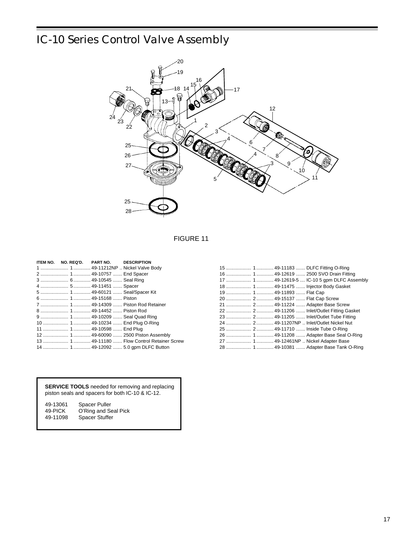# IC-10 Series Control Valve Assembly



### FIGURE 11

|  | ITEM NO. NO. REQ'D. PART NO. DESCRIPTION |                                              |
|--|------------------------------------------|----------------------------------------------|
|  |                                          |                                              |
|  |                                          |                                              |
|  |                                          |                                              |
|  |                                          |                                              |
|  |                                          |                                              |
|  |                                          |                                              |
|  |                                          |                                              |
|  |                                          |                                              |
|  |                                          |                                              |
|  |                                          | 10  1  49-10234  End Plug O-Ring             |
|  |                                          |                                              |
|  |                                          | 12  1  49-60090  2500 Piston Assembly        |
|  |                                          | 13  1  49-11180  Flow Control Retainer Screw |
|  |                                          | 14  1  49-12092  5.0 gpm DLFC Button         |

|                           |  | 15  1  49-11183  DLFC Fitting O-Ring       |
|---------------------------|--|--------------------------------------------|
|                           |  | 16  1  49-12619  2500 SVO Drain Fitting    |
|                           |  |                                            |
|                           |  | 18  1  49-11475  Injector Body Gasket      |
| 19  1  49-11893  Flat Cap |  |                                            |
|                           |  | 20  2  49-15137  Flat Cap Screw            |
|                           |  |                                            |
|                           |  |                                            |
|                           |  |                                            |
|                           |  | 24  2  49-11207NP  Inlet/Outlet Nickel Nut |
|                           |  |                                            |
|                           |  | 26  1  49-11208  Adapter Base Seal O-Ring  |
|                           |  | 27  1  49-12461NP  Nickel Adapter Base     |
|                           |  | 28  1  49-10381  Adapter Base Tank O-Ring  |

**SERVICE TOOLS** needed for removing and replacing piston seals and spacers for both IC-10 & IC-12.

| 49-13061 | Spacer Puller        |
|----------|----------------------|
| 49-PICK  | O'Ring and Seal Pick |
| 49-11098 | Spacer Stuffer       |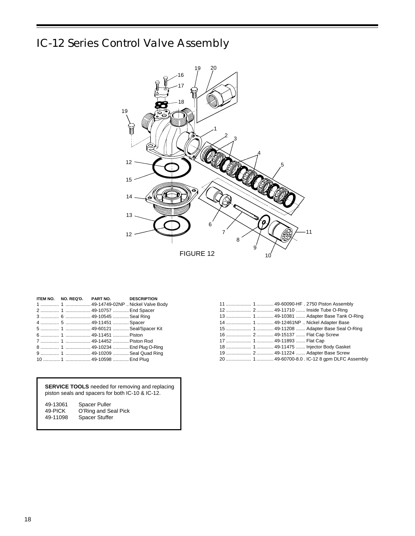# IC-12 Series Control Valve Assembly



|                        | ITEM NO. NO. REQ'D. PART NO. DESCRIPTION |  |
|------------------------|------------------------------------------|--|
|                        |                                          |  |
|                        | 2  1  49-10757  End Spacer               |  |
|                        | 3  6  49-10545  Seal Ring                |  |
| 4  5  49-11451  Spacer |                                          |  |
|                        | 5  1  49-60121  Seal/Spacer Kit          |  |
|                        |                                          |  |
|                        | 7  1  49-14452  Piston Rod               |  |
|                        | 8  1  49-10234  End Plug O-Ring          |  |
|                        | 9  1  49-10209  Seal Quad Ring           |  |
|                        | 10  1  49-10598  End Plug                |  |

**SERVICE TOOLS** needed for removing and replacing piston seals and spacers for both IC-10 & IC-12.

| 49-13061 | Spacer Puller         |
|----------|-----------------------|
| 49-PICK  | O'Ring and Seal Pick  |
| 49-11098 | <b>Spacer Stuffer</b> |

|                           |  | 13  1  49-10381  Adapter Base Tank O-Ring       |
|---------------------------|--|-------------------------------------------------|
|                           |  | 14  1  49-12461NP  Nickel Adapter Base          |
|                           |  | 15  1  49-11208  Adapter Base Seal O-Ring       |
|                           |  | 16  2  49-15137  Flat Cap Screw                 |
| 17  1  49-11893  Flat Cap |  |                                                 |
|                           |  | 18  1  49-11475  Injector Body Gasket           |
|                           |  | 19  2  49-11224  Adapter Base Screw             |
|                           |  | 20  1  49-60700-8.0 . IC-12 8 gpm DLFC Assembly |
|                           |  |                                                 |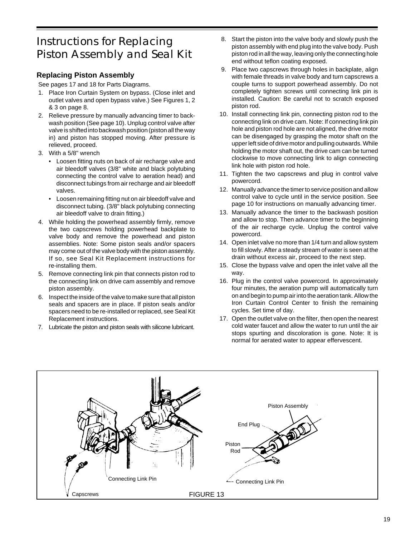# Instructions for Replacing Piston Assembly and Seal Kit

### **Replacing Piston Assembly**

See pages 17 and 18 for Parts Diagrams.

- 1. Place Iron Curtain System on bypass. (Close inlet and outlet valves and open bypass valve.) See Figures 1, 2 & 3 on page 8.
- 2. Relieve pressure by manually advancing timer to backwash position (See page 10). Unplug control valve after valve is shifted into backwash position (piston all the way in) and piston has stopped moving. After pressure is relieved, proceed.
- 3. With a 5/8" wrench
	- Loosen fitting nuts on back of air recharge valve and air bleedoff valves (3/8" white and black polytubing connecting the control valve to aeration head) and disconnect tubings from air recharge and air bleedoff valves.
	- Loosen remaining fitting nut on air bleedoff valve and disconnect tubing. (3/8" black polytubing connecting air bleedoff valve to drain fitting.)
- 4. While holding the powerhead assembly firmly, remove the two capscrews holding powerhead backplate to valve body and remove the powerhead and piston assemblies. Note: Some piston seals and/or spacers may come out of the valve body with the piston assembly. If so, see Seal Kit Replacement instructions for re-installing them.
- 5. Remove connecting link pin that connects piston rod to the connecting link on drive cam assembly and remove piston assembly.
- 6. Inspect the inside of the valve to make sure that all piston seals and spacers are in place. If piston seals and/or spacers need to be re-installed or replaced, see Seal Kit Replacement instructions.
- 7. Lubricate the piston and piston seals with silicone lubricant.
- 8. Start the piston into the valve body and slowly push the piston assembly with end plug into the valve body. Push piston rod in all the way, leaving only the connecting hole end without teflon coating exposed.
- 9. Place two capscrews through holes in backplate, align with female threads in valve body and turn capscrews a couple turns to support powerhead assembly. Do not completely tighten screws until connecting link pin is installed. Caution: Be careful not to scratch exposed piston rod.
- 10. Install connecting link pin, connecting piston rod to the connecting link on drive cam. Note: If connecting link pin hole and piston rod hole are not aligned, the drive motor can be disengaged by grasping the motor shaft on the upper left side of drive motor and pulling outwards. While holding the motor shaft out, the drive cam can be turned clockwise to move connecting link to align connecting link hole with piston rod hole.
- 11. Tighten the two capscrews and plug in control valve powercord.
- 12. Manually advance the timer to service position and allow control valve to cycle until in the service position. See page 10 for instructions on manually advancing timer.
- 13. Manually advance the timer to the backwash position and allow to stop. Then advance timer to the beginning of the air recharge cycle. Unplug the control valve powercord.
- 14. Open inlet valve no more than 1/4 turn and allow system to fill slowly. After a steady stream of water is seen at the drain without excess air, proceed to the next step.
- 15. Close the bypass valve and open the inlet valve all the way.
- 16. Plug in the control valve powercord. In approximately four minutes, the aeration pump will automatically turn on and begin to pump air into the aeration tank. Allow the Iron Curtain Control Center to finish the remaining cycles. Set time of day.
- 17. Open the outlet valve on the filter, then open the nearest cold water faucet and allow the water to run until the air stops spurting and discoloration is gone. Note: It is normal for aerated water to appear effervescent.

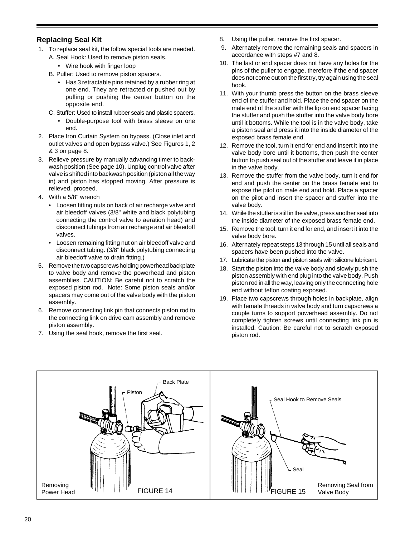### **Replacing Seal Kit**

- 1. To replace seal kit, the follow special tools are needed.
	- A. Seal Hook: Used to remove piston seals.
		- Wire hook with finger loop
	- B. Puller: Used to remove piston spacers.
		- Has 3 retractable pins retained by a rubber ring at one end. They are retracted or pushed out by pulling or pushing the center button on the opposite end.
	- C. Stuffer: Used to install rubber seals and plastic spacers.
		- Double-purpose tool with brass sleeve on one end.
- 2. Place Iron Curtain System on bypass. (Close inlet and outlet valves and open bypass valve.) See Figures 1, 2 & 3 on page 8.
- 3. Relieve pressure by manually advancing timer to backwash position (See page 10). Unplug control valve after valve is shifted into backwash position (piston all the way in) and piston has stopped moving. After pressure is relieved, proceed.
- 4. With a 5/8" wrench
	- Loosen fitting nuts on back of air recharge valve and air bleedoff valves (3/8" white and black polytubing connecting the control valve to aeration head) and disconnect tubings from air recharge and air bleedoff valves.
	- Loosen remaining fitting nut on air bleedoff valve and disconnect tubing. (3/8" black polytubing connecting air bleedoff valve to drain fitting.)
- 5. Remove the two capscrews holding powerhead backplate to valve body and remove the powerhead and piston assemblies. CAUTION: Be careful not to scratch the exposed piston rod. Note: Some piston seals and/or spacers may come out of the valve body with the piston assembly.
- 6. Remove connecting link pin that connects piston rod to the connecting link on drive cam assembly and remove piston assembly.
- 7. Using the seal hook, remove the first seal.
- 8. Using the puller, remove the first spacer.
- 9. Alternately remove the remaining seals and spacers in accordance with steps #7 and 8.
- 10. The last or end spacer does not have any holes for the pins of the puller to engage, therefore if the end spacer does not come out on the first try, try again using the seal hook.
- 11. With your thumb press the button on the brass sleeve end of the stuffer and hold. Place the end spacer on the male end of the stuffer with the lip on end spacer facing the stuffer and push the stuffer into the valve body bore until it bottoms. While the tool is in the valve body, take a piston seal and press it into the inside diameter of the exposed brass female end.
- 12. Remove the tool, turn it end for end and insert it into the valve body bore until it bottoms, then push the center button to push seal out of the stuffer and leave it in place in the valve body.
- 13. Remove the stuffer from the valve body, turn it end for end and push the center on the brass female end to expose the pilot on male end and hold. Place a spacer on the pilot and insert the spacer and stuffer into the valve body.
- 14. While the stuffer is still in the valve, press another seal into the inside diameter of the exposed brass female end.
- 15. Remove the tool, turn it end for end, and insert it into the valve body bore.
- 16. Alternately repeat steps 13 through 15 until all seals and spacers have been pushed into the valve.
- 17. Lubricate the piston and piston seals with silicone lubricant.
- 18. Start the piston into the valve body and slowly push the piston assembly with end plug into the valve body. Push piston rod in all the way, leaving only the connecting hole end without teflon coating exposed.
- 19. Place two capscrews through holes in backplate, align with female threads in valve body and turn capscrews a couple turns to support powerhead assembly. Do not completely tighten screws until connecting link pin is installed. Caution: Be careful not to scratch exposed piston rod.

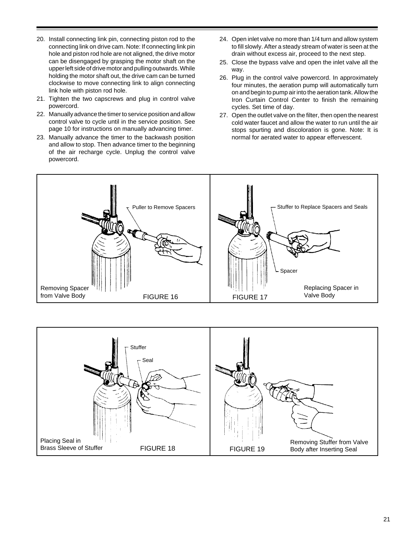- 20. Install connecting link pin, connecting piston rod to the connecting link on drive cam. Note: If connecting link pin hole and piston rod hole are not aligned, the drive motor can be disengaged by grasping the motor shaft on the upper left side of drive motor and pulling outwards. While holding the motor shaft out, the drive cam can be turned clockwise to move connecting link to align connecting link hole with piston rod hole.
- 21. Tighten the two capscrews and plug in control valve powercord.
- 22. Manually advance the timer to service position and allow control valve to cycle until in the service position. See page 10 for instructions on manually advancing timer.
- 23. Manually advance the timer to the backwash position and allow to stop. Then advance timer to the beginning of the air recharge cycle. Unplug the control valve powercord.
- 24. Open inlet valve no more than 1/4 turn and allow system to fill slowly. After a steady stream of water is seen at the drain without excess air, proceed to the next step.
- 25. Close the bypass valve and open the inlet valve all the way.
- 26. Plug in the control valve powercord. In approximately four minutes, the aeration pump will automatically turn on and begin to pump air into the aeration tank. Allow the Iron Curtain Control Center to finish the remaining cycles. Set time of day.
- 27. Open the outlet valve on the filter, then open the nearest cold water faucet and allow the water to run until the air stops spurting and discoloration is gone. Note: It is normal for aerated water to appear effervescent.



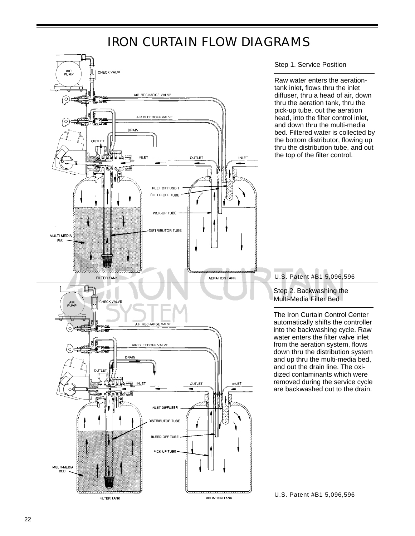# IRON CURTAIN FLOW DIAGRAMS

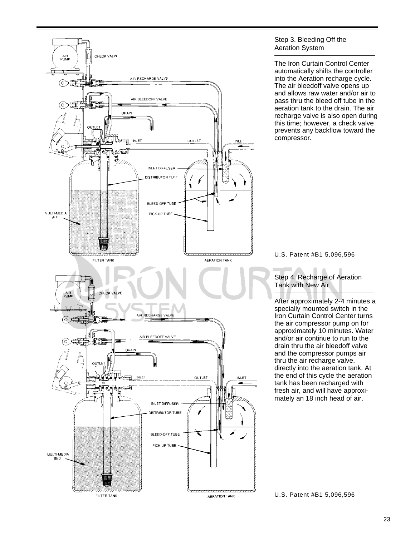

#### Step 3. Bleeding Off the Aeration System

The Iron Curtain Control Center automatically shifts the controller into the Aeration recharge cycle. The air bleedoff valve opens up and allows raw water and/or air to pass thru the bleed off tube in the aeration tank to the drain. The air recharge valve is also open during this time; however, a check valve prevents any backflow toward the compressor.

U.S. Patent #B1 5,096,596

Step 4. Recharge of Aeration Tank with New Air

After approximately 2-4 minutes a specially mounted switch in the Iron Curtain Control Center turns the air compressor pump on for approximately 10 minutes. Water and/or air continue to run to the drain thru the air bleedoff valve and the compressor pumps air thru the air recharge valve, directly into the aeration tank. At the end of this cycle the aeration tank has been recharged with fresh air, and will have approximately an 18 inch head of air.

U.S. Patent #B1 5,096,596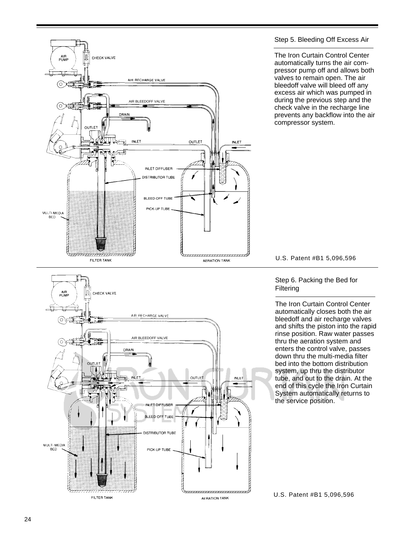

#### Step 5. Bleeding Off Excess Air

The Iron Curtain Control Center automatically turns the air compressor pump off and allows both valves to remain open. The air bleedoff valve will bleed off any excess air which was pumped in during the previous step and the check valve in the recharge line prevents any backflow into the air compressor system.



#### Step 6. Packing the Bed for **Filtering**

The Iron Curtain Control Center automatically closes both the air bleedoff and air recharge valves and shifts the piston into the rapid rinse position. Raw water passes thru the aeration system and enters the control valve, passes down thru the multi-media filter bed into the bottom distribution system, up thru the distributor tube, and out to the drain. At the end of this cycle the Iron Curtain System automatically returns to the service position.

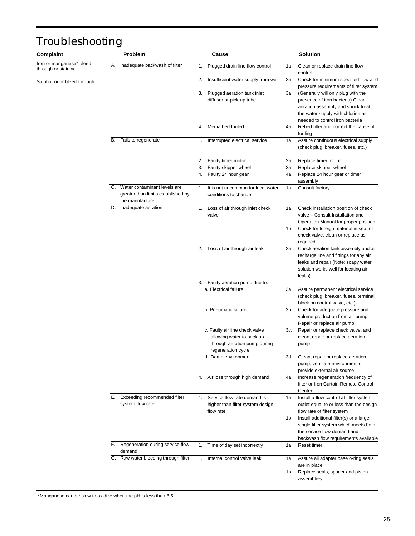# Troubleshooting

| Complaint                                        |    | <b>Problem</b>                                                                            |    | Cause                                                                                                             |     | <b>Solution</b>                                                                                                                                                                     |
|--------------------------------------------------|----|-------------------------------------------------------------------------------------------|----|-------------------------------------------------------------------------------------------------------------------|-----|-------------------------------------------------------------------------------------------------------------------------------------------------------------------------------------|
| Iron or manganese* bleed-<br>through or staining | Α. | Inadequate backwash of filter                                                             | 1. | Plugged drain line flow control                                                                                   | 1а. | Clean or replace drain line flow<br>control                                                                                                                                         |
| Sulphur odor bleed-through                       |    |                                                                                           | 2. | Insufficient water supply from well                                                                               | 2a. | Check for minimum specified flow and<br>pressure requirements of filter system                                                                                                      |
|                                                  |    |                                                                                           | З. | Plugged aeration tank inlet<br>diffuser or pick-up tube                                                           | 3а. | (Generally will only plug with the<br>presence of iron bacteria) Clean<br>aeration assembly and shock treat<br>the water supply with chlorine as<br>needed to control iron bacteria |
|                                                  |    |                                                                                           | 4. | Media bed fouled                                                                                                  | 4a. | Rebed filter and correct the cause of<br>fouling                                                                                                                                    |
|                                                  | В. | Fails to regenerate                                                                       | 1. | Interrupted electrical service                                                                                    | 1a. | Assure continuous electrical supply<br>(check plug, breaker, fuses, etc.)                                                                                                           |
|                                                  |    |                                                                                           | 2. | Faulty timer motor                                                                                                | 2a. | Replace timer motor                                                                                                                                                                 |
|                                                  |    |                                                                                           | 3. | Faulty skipper wheel                                                                                              | 3а. | Replace skipper wheel                                                                                                                                                               |
|                                                  |    |                                                                                           | 4. | Faulty 24 hour gear                                                                                               | 4a. | Replace 24 hour gear or timer<br>assembly                                                                                                                                           |
|                                                  |    | C. Water contaminant levels are<br>greater than limits established by<br>the manufacturer | 1. | It is not uncommon for local water<br>conditions to change                                                        | 1a. | Consult factory                                                                                                                                                                     |
|                                                  | D. | Inadequate aeration                                                                       | 1. | Loss of air through inlet check<br>valve                                                                          | 1a. | Check installation position of check<br>valve - Consult Installation and<br>Operation Manual for proper position<br>1b. Check for foreign material in seat of                       |
|                                                  |    |                                                                                           | 2. | Loss of air through air leak                                                                                      | 2a. | check valve, clean or replace as<br>required<br>Check aeration tank assembly and air                                                                                                |
|                                                  |    |                                                                                           |    |                                                                                                                   |     | recharge line and fittings for any air<br>leaks and repair (Note: soapy water<br>solution works well for locating air<br>leaks)                                                     |
|                                                  |    |                                                                                           |    | 3. Faulty aeration pump due to:                                                                                   |     |                                                                                                                                                                                     |
|                                                  |    |                                                                                           |    | a. Electrical failure                                                                                             |     | 3a. Assure permanent electrical service<br>(check plug, breaker, fuses, terminal<br>block on control valve, etc.)                                                                   |
|                                                  |    |                                                                                           |    | b. Pneumatic failure                                                                                              |     | 3b. Check for adequate pressure and<br>volume production from air pump.<br>Repair or replace air pump                                                                               |
|                                                  |    |                                                                                           |    | c. Faulty air line check valve<br>allowing water to back up<br>through aeration pump during<br>regeneration cycle | 3c. | Repair or replace check valve, and<br>clean, repair or replace aeration<br>pump                                                                                                     |
|                                                  |    |                                                                                           |    | d. Damp environment                                                                                               | 3d. | Clean, repair or replace aeration<br>pump, ventilate environment or<br>provide external air source                                                                                  |
|                                                  |    |                                                                                           | 4. | Air loss through high demand                                                                                      | 4a. | Increase regeneration frequency of<br>filter or Iron Curtain Remote Control<br>Center                                                                                               |
|                                                  | Е. | Exceeding recommended filter<br>system flow rate                                          | 1. | Service flow rate demand is<br>higher than filter system design<br>flow rate                                      | 1a. | Install a flow control at filter system<br>outlet equal to or less than the design<br>flow rate of filter system                                                                    |
|                                                  |    |                                                                                           |    |                                                                                                                   | 1b. | Install additional filter(s) or a larger<br>single filter system which meets both<br>the service flow demand and<br>backwash flow requirements available                            |
|                                                  | F. | Regeneration during service flow<br>demand                                                | 1. | Time of day set incorrectly                                                                                       | 1a. | Reset timer                                                                                                                                                                         |
|                                                  |    | G. Raw water bleeding through filter                                                      | 1. | Internal control valve leak                                                                                       | 1a. | Assure all adapter base o-ring seals<br>are in place                                                                                                                                |
|                                                  |    |                                                                                           |    |                                                                                                                   | 1b. | Replace seals, spacer and piston<br>assemblies                                                                                                                                      |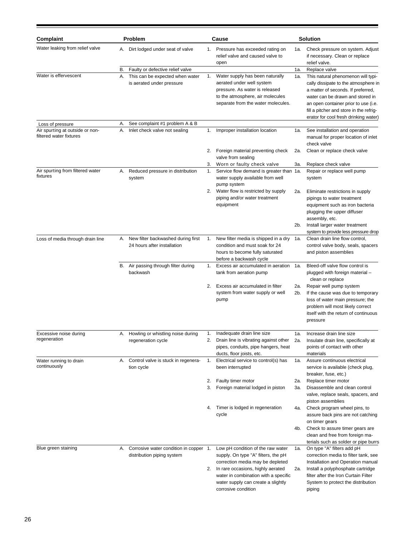| Complaint                                                  |          | Problem                                                                                          |          | Cause                                                                                                                                                                    |            | <b>Solution</b>                                                                                                                                                                                                                                          |
|------------------------------------------------------------|----------|--------------------------------------------------------------------------------------------------|----------|--------------------------------------------------------------------------------------------------------------------------------------------------------------------------|------------|----------------------------------------------------------------------------------------------------------------------------------------------------------------------------------------------------------------------------------------------------------|
| Water leaking from relief valve                            | А.       | Dirt lodged under seat of valve                                                                  | 1.       | Pressure has exceeded rating on<br>relief valve and caused valve to<br>open                                                                                              | 1a.        | Check pressure on system. Adjust<br>if necessary. Clean or replace<br>relief valve.                                                                                                                                                                      |
| Water is effervescent                                      | В.<br>Α. | Faulty or defective relief valve<br>This can be expected when water<br>is aerated under pressure | 1.       | Water supply has been naturally<br>aerated under well system<br>pressure. As water is released<br>to the atmosphere, air molecules<br>separate from the water molecules. | 1a.<br>1a. | Replace valve<br>This natural phenomenon will typi-<br>cally dissipate to the atmosphere in<br>a matter of seconds. If preferred,<br>water can be drawn and stored in<br>an open container prior to use (i.e.<br>fill a pitcher and store in the refrig- |
| Loss of pressure                                           | Α.       | See complaint #1 problem A & B                                                                   |          |                                                                                                                                                                          |            | erator for cool fresh drinking water)                                                                                                                                                                                                                    |
| Air spurting at outside or non-<br>filtered water fixtures | А.       | Inlet check valve not sealing                                                                    | 1.       | Improper installation location                                                                                                                                           | 1a.        | See installation and operation<br>manual for proper location of inlet<br>check valve                                                                                                                                                                     |
|                                                            |          |                                                                                                  | 2.       | Foreign material preventing check<br>valve from sealing                                                                                                                  | 2a.        | Clean or replace check valve                                                                                                                                                                                                                             |
| Air spurting from filtered water<br>fixtures               | Α.       | Reduced pressure in distribution<br>system                                                       | 3.<br>1. | Worn or faulty check valve<br>Service flow demand is greater than 1a.<br>water supply available from well<br>pump system                                                 | 3а.        | Replace check valve<br>Repair or replace well pump<br>system                                                                                                                                                                                             |
|                                                            |          |                                                                                                  |          | 2. Water flow is restricted by supply<br>piping and/or water treatment<br>equipment                                                                                      | 2a.<br>2b. | Eliminate restrictions in supply<br>pipings to water treatment<br>equipment such as iron bacteria<br>plugging the upper diffuser<br>assembly, etc.<br>Install larger water treatment                                                                     |
| Loss of media through drain line                           | А.       | New filter backwashed during first<br>24 hours after installation                                | 1.       | New filter media is shipped in a dry<br>condition and must soak for 24<br>hours to become fully saturated<br>before a backwash cycle                                     | 1а.        | system to provide less pressure drop<br>Clean drain line flow control,<br>control valve body, seals, spacers<br>and piston assemblies                                                                                                                    |
|                                                            | В.       | Air passing through filter during<br>backwash                                                    | 1.       | Excess air accumulated in aeration<br>tank from aeration pump                                                                                                            | 1a.        | Bleed-off valve flow control is<br>plugged with foreign material -<br>clean or replace                                                                                                                                                                   |
|                                                            |          |                                                                                                  | 2.       | Excess air accumulated in filter<br>system from water supply or well<br>pump                                                                                             | 2a.<br>2b. | Repair well pump system<br>If the cause was due to temporary<br>loss of water main pressure; the<br>problem will most likely correct<br>itself with the return of continuous<br>pressure                                                                 |
| Excessive noise during<br>regeneration                     | А.       | Howling or whistling noise during<br>regeneration cycle                                          |          | Inadequate drain line size<br>2. Drain line is vibrating against other<br>pipes, conduits, pipe hangers, heat<br>ducts, floor joists, etc.                               | 1a.<br>2a. | Increase drain line size<br>Insulate drain line, specifically at<br>points of contact with other<br>materials                                                                                                                                            |
| Water running to drain<br>continuously                     |          | A. Control valve is stuck in regenera-<br>tion cycle                                             |          | 1. Electrical service to control(s) has<br>been interrupted                                                                                                              | 1а.        | Assure continuous electrical<br>service is available (check plug,<br>breaker, fuse, etc.)                                                                                                                                                                |
|                                                            |          |                                                                                                  | 2.<br>3. | Faulty timer motor<br>Foreign material lodged in piston                                                                                                                  | 2a.<br>3а. | Replace timer motor<br>Disassemble and clean control<br>valve, replace seals, spacers, and<br>piston assemblies                                                                                                                                          |
|                                                            |          |                                                                                                  | 4.       | Timer is lodged in regeneration<br>cycle                                                                                                                                 | 4a.        | Check program wheel pins, to<br>assure back pins are not catching<br>on timer gears                                                                                                                                                                      |
|                                                            |          |                                                                                                  |          |                                                                                                                                                                          | 4b.        | Check to assure timer gears are<br>clean and free from foreign ma-<br>terials such as solder or pipe burrs                                                                                                                                               |
| Blue green staining                                        | А.       | Corrosive water condition in copper 1.<br>distribution piping system                             |          | Low pH condition of the raw water<br>supply. On type "A" filters, the pH<br>correction media may be depleted                                                             | 1a.        | On type "A" filters add pH<br>correction media to filter tank, see<br>Installation and Operation manual                                                                                                                                                  |
|                                                            |          |                                                                                                  | 2.       | In rare occasions, highly aerated<br>water in combination with a specific<br>water supply can create a slightly<br>corrosive condition                                   | 2a.        | Install a polyphosphate cartridge<br>filter after the Iron Curtain Filter<br>System to protect the distribution<br>piping                                                                                                                                |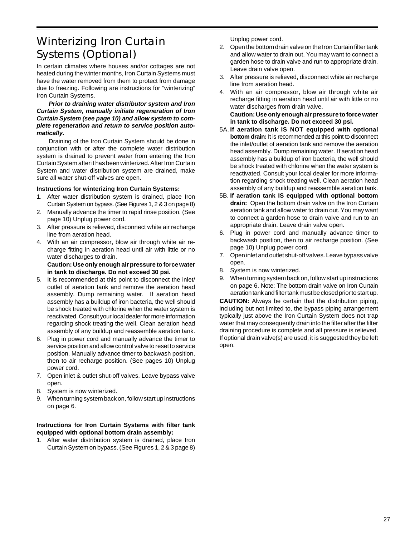# Winterizing Iron Curtain Systems (Optional)

In certain climates where houses and/or cottages are not heated during the winter months, Iron Curtain Systems must have the water removed from them to protect from damage due to freezing. Following are instructions for "winterizing" Iron Curtain Systems.

#### **Prior to draining water distributor system and Iron Curtain System, manually initiate regeneration of Iron Curtain System (see page 10) and allow system to complete regeneration and return to service position automatically.**

Draining of the Iron Curtain System should be done in conjunction with or after the complete water distribution system is drained to prevent water from entering the Iron Curtain System after it has been winterized. After Iron Curtain System and water distribution system are drained, make sure all water shut-off valves are open.

#### **Instructions for winterizing Iron Curtain Systems:**

- 1. After water distribution system is drained, place Iron Curtain System on bypass. (See Figures 1, 2 & 3 on page 8)
- 2. Manually advance the timer to rapid rinse position. (See page 10) Unplug power cord.
- 3. After pressure is relieved, disconnect white air recharge line from aeration head.
- 4. With an air compressor, blow air through white air recharge fitting in aeration head until air with little or no water discharges to drain.

#### **Caution: Use only enough air pressure to force water in tank to discharge. Do not exceed 30 psi.**

- 5. It is recommended at this point to disconnect the inlet/ outlet of aeration tank and remove the aeration head assembly. Dump remaining water. If aeration head assembly has a buildup of iron bacteria, the well should be shock treated with chlorine when the water system is reactivated. Consult your local dealer for more information regarding shock treating the well. Clean aeration head assembly of any buildup and reassemble aeration tank.
- 6. Plug in power cord and manually advance the timer to service position and allow control valve to reset to service position. Manually advance timer to backwash position, then to air recharge position. (See pages 10) Unplug power cord.
- 7. Open inlet & outlet shut-off valves. Leave bypass valve open.
- 8. System is now winterized.
- 9. When turning system back on, follow start up instructions on page 6.

#### **Instructions for Iron Curtain Systems with filter tank equipped with optional bottom drain assembly:**

1. After water distribution system is drained, place Iron Curtain System on bypass. (See Figures 1, 2 & 3 page 8) Unplug power cord.

- 2. Open the bottom drain valve on the Iron Curtain filter tank and allow water to drain out. You may want to connect a garden hose to drain valve and run to appropriate drain. Leave drain valve open.
- 3. After pressure is relieved, disconnect white air recharge line from aeration head.
- 4. With an air compressor, blow air through white air recharge fitting in aeration head until air with little or no water discharges from drain valve.

**Caution: Use only enough air pressure to force water in tank to discharge. Do not exceed 30 psi.**

- 5A. **If aeration tank IS NOT equipped with optional bottom drain:** It is recommended at this point to disconnect the inlet/outlet of aeration tank and remove the aeration head assembly. Dump remaining water. If aeration head assembly has a buildup of iron bacteria, the well should be shock treated with chlorine when the water system is reactivated. Consult your local dealer for more information regarding shock treating well. Clean aeration head assembly of any buildup and reassemble aeration tank.
- 5B. **If aeration tank IS equipped with optional bottom drain:** Open the bottom drain valve on the Iron Curtain aeration tank and allow water to drain out. You may want to connect a garden hose to drain valve and run to an appropriate drain. Leave drain valve open.
- 6. Plug in power cord and manually advance timer to backwash position, then to air recharge position. (See page 10) Unplug power cord.
- 7. Open inlet and outlet shut-off valves. Leave bypass valve open.
- 8. System is now winterized.
- 9. When turning system back on, follow start up instructions on page 6. Note: The bottom drain valve on Iron Curtain aeration tank and filter tank must be closed prior to start up.

**CAUTION:** Always be certain that the distribution piping, including but not limited to, the bypass piping arrangement typically just above the Iron Curtain System does not trap water that may consequently drain into the filter after the filter draining procedure is complete and all pressure is relieved. If optional drain valve(s) are used, it is suggested they be left open.